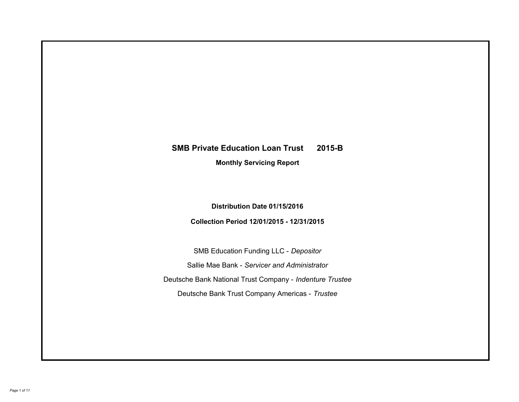# **SMB Private Education Loan Trust 2015-B Monthly Servicing Report**

## **Distribution Date 01/15/2016**

## **Collection Period 12/01/2015 - 12/31/2015**

SMB Education Funding LLC - *Depositor* Sallie Mae Bank - *Servicer and Administrator* Deutsche Bank National Trust Company - *Indenture Trustee* Deutsche Bank Trust Company Americas - *Trustee*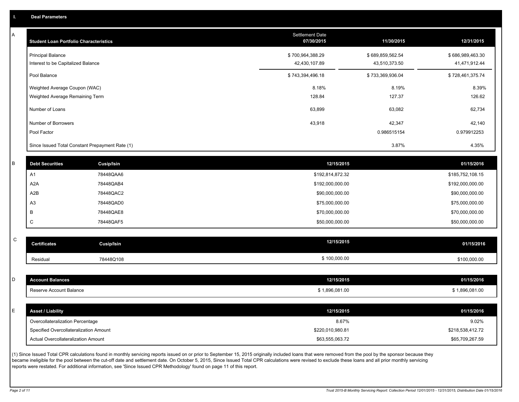A

| A | <b>Student Loan Portfolio Characteristics</b> |                                                 | Settlement Date<br>07/30/2015 | 11/30/2015       | 12/31/2015       |
|---|-----------------------------------------------|-------------------------------------------------|-------------------------------|------------------|------------------|
|   | <b>Principal Balance</b>                      |                                                 | \$700,964,388.29              | \$689,859,562.54 | \$686,989,463.30 |
|   | Interest to be Capitalized Balance            |                                                 | 42,430,107.89                 | 43,510,373.50    | 41,471,912.44    |
|   | Pool Balance                                  |                                                 | \$743,394,496.18              | \$733,369,936.04 | \$728,461,375.74 |
|   | Weighted Average Coupon (WAC)                 |                                                 | 8.18%                         | 8.19%            | 8.39%            |
|   | Weighted Average Remaining Term               |                                                 | 128.84                        | 127.37           | 126.62           |
|   | Number of Loans                               |                                                 | 63,899                        | 63,082           | 62,734           |
|   | Number of Borrowers                           |                                                 | 43,918                        | 42,347           | 42,140           |
|   | Pool Factor                                   |                                                 |                               | 0.986515154      | 0.979912253      |
|   |                                               | Since Issued Total Constant Prepayment Rate (1) |                               | 3.87%            | 4.35%            |
|   |                                               |                                                 |                               |                  |                  |
| B | <b>Debt Securities</b>                        | <b>Cusip/Isin</b>                               | 12/15/2015                    |                  | 01/15/2016       |
|   | A <sub>1</sub>                                | 78448QAA6                                       | \$192,814,872.32              |                  | \$185,752,108.15 |
|   | A <sub>2</sub> A                              | 78448QAB4                                       | \$192,000,000.00              |                  | \$192,000,000.00 |
|   | A2B                                           | 78448QAC2                                       | \$90,000,000.00               |                  | \$90,000,000.00  |
|   | A <sub>3</sub>                                | 78448QAD0                                       | \$75,000,000.00               |                  | \$75,000,000.00  |
|   | В                                             | 78448QAE8                                       | \$70,000,000.00               |                  | \$70,000,000.00  |
|   | C                                             | 78448QAF5                                       | \$50,000,000.00               |                  | \$50,000,000.00  |
| C |                                               |                                                 | 12/15/2015                    |                  |                  |
|   | <b>Certificates</b>                           | Cusip/Isin                                      |                               |                  | 01/15/2016       |
|   | Residual                                      | 78448Q108                                       | \$100,000.00                  |                  | \$100,000.00     |
|   |                                               |                                                 |                               |                  |                  |
| D | <b>Account Balances</b>                       |                                                 | 12/15/2015                    |                  | 01/15/2016       |
|   | Reserve Account Balance                       |                                                 | \$1,896,081.00                |                  | \$1,896,081.00   |
| F | <b>Asset / Liability</b>                      |                                                 | 12/15/2015                    |                  | 01/15/2016       |
|   | Overcollateralization Percentage              |                                                 | 8.67%                         |                  | 9.02%            |
|   | Specified Overcollateralization Amount        |                                                 | \$220,010,980.81              |                  | \$218,538,412.72 |
|   | Actual Overcollateralization Amount           |                                                 | \$63,555,063.72               |                  | \$65,709,267.59  |

(1) Since Issued Total CPR calculations found in monthly servicing reports issued on or prior to September 15, 2015 originally included loans that were removed from the pool by the sponsor because they became ineligible for the pool between the cut-off date and settlement date. On October 5, 2015, Since Issued Total CPR calculations were revised to exclude these loans and all prior monthly servicing reports were restated. For additional information, see 'Since Issued CPR Methodology' found on page 11 of this report.

C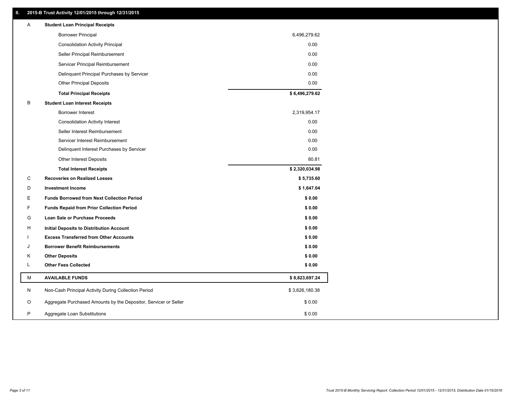## **II. 2015-B Trust Activity 12/01/2015 through 12/31/2015**

| Α | <b>Student Loan Principal Receipts</b>                           |                |
|---|------------------------------------------------------------------|----------------|
|   | <b>Borrower Principal</b>                                        | 6,496,279.62   |
|   | <b>Consolidation Activity Principal</b>                          | 0.00           |
|   | Seller Principal Reimbursement                                   | 0.00           |
|   | Servicer Principal Reimbursement                                 | 0.00           |
|   | Delinquent Principal Purchases by Servicer                       | 0.00           |
|   | <b>Other Principal Deposits</b>                                  | 0.00           |
|   | <b>Total Principal Receipts</b>                                  | \$6,496,279.62 |
| B | <b>Student Loan Interest Receipts</b>                            |                |
|   | <b>Borrower Interest</b>                                         | 2,319,954.17   |
|   | <b>Consolidation Activity Interest</b>                           | 0.00           |
|   | Seller Interest Reimbursement                                    | 0.00           |
|   | Servicer Interest Reimbursement                                  | 0.00           |
|   | Delinquent Interest Purchases by Servicer                        | 0.00           |
|   | <b>Other Interest Deposits</b>                                   | 80.81          |
|   | <b>Total Interest Receipts</b>                                   | \$2,320,034.98 |
| С | <b>Recoveries on Realized Losses</b>                             | \$5,735.60     |
| D | <b>Investment Income</b>                                         | \$1,647.04     |
| Е | <b>Funds Borrowed from Next Collection Period</b>                | \$0.00         |
| F | <b>Funds Repaid from Prior Collection Period</b>                 | \$0.00         |
| G | Loan Sale or Purchase Proceeds                                   | \$0.00         |
| н | Initial Deposits to Distribution Account                         | \$0.00         |
|   | <b>Excess Transferred from Other Accounts</b>                    | \$0.00         |
| J | <b>Borrower Benefit Reimbursements</b>                           | \$0.00         |
| Κ | <b>Other Deposits</b>                                            | \$0.00         |
| L | <b>Other Fees Collected</b>                                      | \$0.00         |
| М | <b>AVAILABLE FUNDS</b>                                           | \$8,823,697.24 |
| N | Non-Cash Principal Activity During Collection Period             | \$3,626,180.38 |
| O | Aggregate Purchased Amounts by the Depositor, Servicer or Seller | \$0.00         |
| P | Aggregate Loan Substitutions                                     | \$0.00         |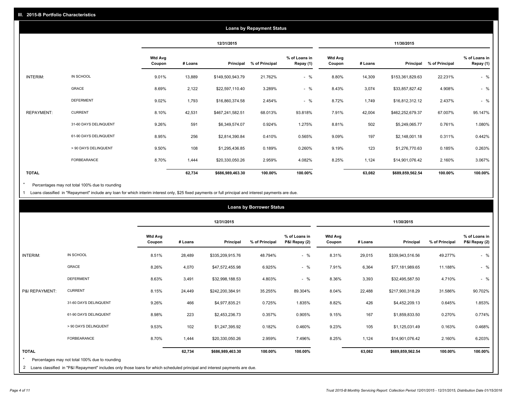|              |                       |                          | <b>Loans by Repayment Status</b> |                  |                |                            |                          |         |                  |                |                            |
|--------------|-----------------------|--------------------------|----------------------------------|------------------|----------------|----------------------------|--------------------------|---------|------------------|----------------|----------------------------|
|              |                       |                          |                                  | 12/31/2015       |                |                            |                          |         | 11/30/2015       |                |                            |
|              |                       | <b>Wtd Avg</b><br>Coupon | # Loans                          | Principal        | % of Principal | % of Loans in<br>Repay (1) | <b>Wtd Avg</b><br>Coupon | # Loans | Principal        | % of Principal | % of Loans in<br>Repay (1) |
| INTERIM:     | IN SCHOOL             | 9.01%                    | 13,889                           | \$149,500,943.79 | 21.762%        | $-$ %                      | 8.80%                    | 14,309  | \$153,361,829.63 | 22.231%        | $-$ %                      |
|              | GRACE                 | 8.69%                    | 2,122                            | \$22,597,110.40  | 3.289%         | $-$ %                      | 8.43%                    | 3,074   | \$33,857,827.42  | 4.908%         | $-$ %                      |
|              | <b>DEFERMENT</b>      | 9.02%                    | 1,793                            | \$16,860,374.58  | 2.454%         | $-$ %                      | 8.72%                    | 1,749   | \$16,812,312.12  | 2.437%         | $-$ %                      |
| REPAYMENT:   | <b>CURRENT</b>        | 8.10%                    | 42,531                           | \$467,241,582.51 | 68.013%        | 93.818%                    | 7.91%                    | 42,004  | \$462,252,679.37 | 67.007%        | 95.147%                    |
|              | 31-60 DAYS DELINQUENT | 9.26%                    | 591                              | \$6,349,574.07   | 0.924%         | 1.275%                     | 8.81%                    | 502     | \$5,249,065.77   | 0.761%         | 1.080%                     |
|              | 61-90 DAYS DELINQUENT | 8.95%                    | 256                              | \$2,814,390.84   | 0.410%         | 0.565%                     | 9.09%                    | 197     | \$2,148,001.18   | 0.311%         | 0.442%                     |
|              | > 90 DAYS DELINQUENT  | 9.50%                    | 108                              | \$1,295,436.85   | 0.189%         | 0.260%                     | 9.19%                    | 123     | \$1,276,770.63   | 0.185%         | 0.263%                     |
|              | <b>FORBEARANCE</b>    | 8.70%                    | 1,444                            | \$20,330,050.26  | 2.959%         | 4.082%                     | 8.25%                    | 1,124   | \$14,901,076.42  | 2.160%         | 3.067%                     |
| <b>TOTAL</b> |                       |                          | 62,734                           | \$686,989,463.30 | 100.00%        | 100.00%                    |                          | 63,082  | \$689,859,562.54 | 100.00%        | 100.00%                    |

Percentages may not total 100% due to rounding  $^\star$ 

1 Loans classified in "Repayment" include any loan for which interim interest only, \$25 fixed payments or full principal and interest payments are due.

|                 |                                                                                                                            |                          |         |                  | <b>Loans by Borrower Status</b> |                                |                          |         |                  |                |                                |
|-----------------|----------------------------------------------------------------------------------------------------------------------------|--------------------------|---------|------------------|---------------------------------|--------------------------------|--------------------------|---------|------------------|----------------|--------------------------------|
|                 |                                                                                                                            |                          |         | 12/31/2015       |                                 |                                |                          |         | 11/30/2015       |                |                                |
|                 |                                                                                                                            | <b>Wtd Avg</b><br>Coupon | # Loans | Principal        | % of Principal                  | % of Loans in<br>P&I Repay (2) | <b>Wtd Avg</b><br>Coupon | # Loans | Principal        | % of Principal | % of Loans in<br>P&I Repay (2) |
| <b>INTERIM:</b> | IN SCHOOL                                                                                                                  | 8.51%                    | 28,489  | \$335,209,915.76 | 48.794%                         | $-$ %                          | 8.31%                    | 29,015  | \$339,943,516.56 | 49.277%        | $-$ %                          |
|                 | <b>GRACE</b>                                                                                                               | 8.26%                    | 4,070   | \$47,572,455.98  | 6.925%                          | $-$ %                          | 7.91%                    | 6,364   | \$77,181,989.65  | 11.188%        | $-$ %                          |
|                 | <b>DEFERMENT</b>                                                                                                           | 8.63%                    | 3,491   | \$32,998,188.53  | 4.803%                          | $-$ %                          | 8.36%                    | 3,393   | \$32,495,587.50  | 4.710%         | $-$ %                          |
| P&I REPAYMENT:  | <b>CURRENT</b>                                                                                                             | 8.15%                    | 24,449  | \$242,200,384.91 | 35.255%                         | 89.304%                        | 8.04%                    | 22,488  | \$217,900,318.29 | 31.586%        | 90.702%                        |
|                 | 31-60 DAYS DELINQUENT                                                                                                      | 9.26%                    | 466     | \$4,977,835.21   | 0.725%                          | 1.835%                         | 8.82%                    | 426     | \$4,452,209.13   | 0.645%         | 1.853%                         |
|                 | 61-90 DAYS DELINQUENT                                                                                                      | 8.98%                    | 223     | \$2,453,236.73   | 0.357%                          | 0.905%                         | 9.15%                    | 167     | \$1,859,833.50   | 0.270%         | 0.774%                         |
|                 | > 90 DAYS DELINQUENT                                                                                                       | 9.53%                    | 102     | \$1,247,395.92   | 0.182%                          | 0.460%                         | 9.23%                    | 105     | \$1,125,031.49   | 0.163%         | 0.468%                         |
|                 | FORBEARANCE                                                                                                                | 8.70%                    | 1,444   | \$20,330,050.26  | 2.959%                          | 7.496%                         | 8.25%                    | 1,124   | \$14,901,076.42  | 2.160%         | 6.203%                         |
| <b>TOTAL</b>    |                                                                                                                            |                          | 62,734  | \$686,989,463.30 | 100.00%                         | 100.00%                        |                          | 63,082  | \$689,859,562.54 | 100.00%        | 100.00%                        |
|                 | Percentages may not total 100% due to rounding                                                                             |                          |         |                  |                                 |                                |                          |         |                  |                |                                |
| $\mathbf{2}$    | Loans classified in "P&I Repayment" includes only those loans for which scheduled principal and interest payments are due. |                          |         |                  |                                 |                                |                          |         |                  |                |                                |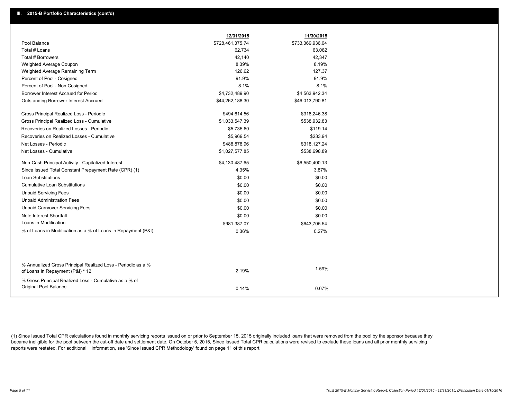|                                                                                                  | 12/31/2015       | 11/30/2015       |
|--------------------------------------------------------------------------------------------------|------------------|------------------|
| Pool Balance                                                                                     | \$728,461,375.74 | \$733,369,936.04 |
| Total # Loans                                                                                    | 62,734           | 63,082           |
| Total # Borrowers                                                                                | 42,140           | 42,347           |
| Weighted Average Coupon                                                                          | 8.39%            | 8.19%            |
| Weighted Average Remaining Term                                                                  | 126.62           | 127.37           |
| Percent of Pool - Cosigned                                                                       | 91.9%            | 91.9%            |
| Percent of Pool - Non Cosigned                                                                   | 8.1%             | 8.1%             |
| Borrower Interest Accrued for Period                                                             | \$4,732,489.90   | \$4,563,942.34   |
| Outstanding Borrower Interest Accrued                                                            | \$44,262,188.30  | \$46,013,790.81  |
| Gross Principal Realized Loss - Periodic                                                         | \$494,614.56     | \$318,246.38     |
| Gross Principal Realized Loss - Cumulative                                                       | \$1,033,547.39   | \$538,932.83     |
| Recoveries on Realized Losses - Periodic                                                         | \$5,735.60       | \$119.14         |
| Recoveries on Realized Losses - Cumulative                                                       | \$5,969.54       | \$233.94         |
| Net Losses - Periodic                                                                            | \$488,878.96     | \$318,127.24     |
| Net Losses - Cumulative                                                                          | \$1,027,577.85   | \$538,698.89     |
| Non-Cash Principal Activity - Capitalized Interest                                               | \$4,130,487.65   | \$6,550,400.13   |
| Since Issued Total Constant Prepayment Rate (CPR) (1)                                            | 4.35%            | 3.87%            |
| <b>Loan Substitutions</b>                                                                        | \$0.00           | \$0.00           |
| <b>Cumulative Loan Substitutions</b>                                                             | \$0.00           | \$0.00           |
| <b>Unpaid Servicing Fees</b>                                                                     | \$0.00           | \$0.00           |
| <b>Unpaid Administration Fees</b>                                                                | \$0.00           | \$0.00           |
| <b>Unpaid Carryover Servicing Fees</b>                                                           | \$0.00           | \$0.00           |
| Note Interest Shortfall                                                                          | \$0.00           | \$0.00           |
| Loans in Modification                                                                            | \$981,387.07     | \$643,705.54     |
| % of Loans in Modification as a % of Loans in Repayment (P&I)                                    | 0.36%            | 0.27%            |
|                                                                                                  |                  |                  |
|                                                                                                  |                  |                  |
| % Annualized Gross Principal Realized Loss - Periodic as a %<br>of Loans in Repayment (P&I) * 12 | 2.19%            | 1.59%            |
| % Gross Principal Realized Loss - Cumulative as a % of                                           |                  |                  |
| Original Pool Balance                                                                            | 0.14%            | 0.07%            |

(1) Since Issued Total CPR calculations found in monthly servicing reports issued on or prior to September 15, 2015 originally included loans that were removed from the pool by the sponsor because they became ineligible for the pool between the cut-off date and settlement date. On October 5, 2015, Since Issued Total CPR calculations were revised to exclude these loans and all prior monthly servicing reports were restated. For additional information, see 'Since Issued CPR Methodology' found on page 11 of this report.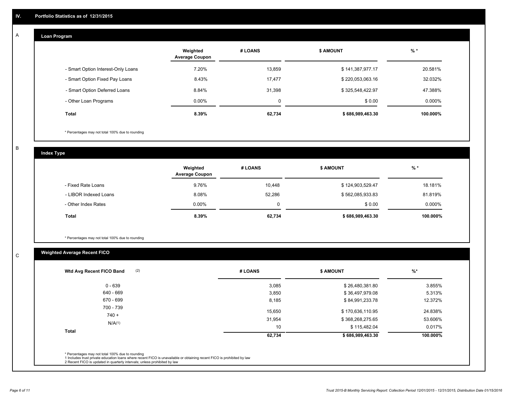#### **Loan Program**  A

|                                    | Weighted<br><b>Average Coupon</b> | # LOANS     | <b>\$ AMOUNT</b> | $%$ *     |
|------------------------------------|-----------------------------------|-------------|------------------|-----------|
| - Smart Option Interest-Only Loans | 7.20%                             | 13,859      | \$141,387,977.17 | 20.581%   |
| - Smart Option Fixed Pay Loans     | 8.43%                             | 17,477      | \$220,053,063.16 | 32.032%   |
| - Smart Option Deferred Loans      | 8.84%                             | 31.398      | \$325,548,422.97 | 47.388%   |
| - Other Loan Programs              | $0.00\%$                          | $\mathbf 0$ | \$0.00           | $0.000\%$ |
| <b>Total</b>                       | 8.39%                             | 62,734      | \$686,989,463.30 | 100.000%  |

\* Percentages may not total 100% due to rounding

B

C

**Index Type**

|                       | Weighted<br><b>Average Coupon</b> | # LOANS | <b>\$ AMOUNT</b> | $%$ *     |
|-----------------------|-----------------------------------|---------|------------------|-----------|
| - Fixed Rate Loans    | 9.76%                             | 10.448  | \$124,903,529.47 | 18.181%   |
| - LIBOR Indexed Loans | 8.08%                             | 52,286  | \$562,085,933.83 | 81.819%   |
| - Other Index Rates   | $0.00\%$                          | 0       | \$0.00           | $0.000\%$ |
| Total                 | 8.39%                             | 62,734  | \$686,989,463.30 | 100.000%  |

\* Percentages may not total 100% due to rounding

## **Weighted Average Recent FICO**

| (2)<br>Wtd Avg Recent FICO Band | # LOANS | <b>\$ AMOUNT</b> | $%$ *    |
|---------------------------------|---------|------------------|----------|
| $0 - 639$                       | 3,085   | \$26,480,381.80  | 3.855%   |
| 640 - 669                       | 3,850   | \$36,497,979.08  | 5.313%   |
| 670 - 699                       | 8,185   | \$84,991,233.78  | 12.372%  |
| 700 - 739<br>$740 +$            | 15,650  | \$170,636,110.95 | 24.838%  |
| N/A(1)                          | 31,954  | \$368,268,275.65 | 53.606%  |
|                                 | 10      | \$115,482.04     | 0.017%   |
| <b>Total</b>                    | 62,734  | \$686,989,463.30 | 100.000% |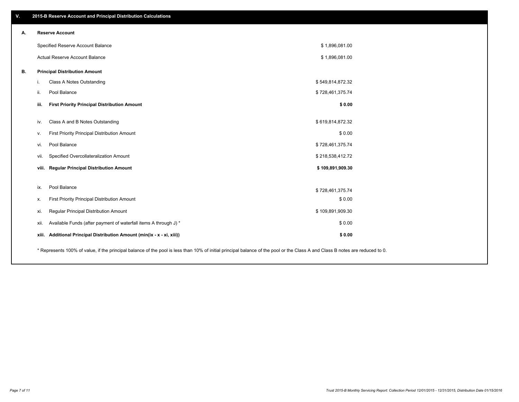| ٧. | 2015-B Reserve Account and Principal Distribution Calculations                                                                                                                |                  |  |
|----|-------------------------------------------------------------------------------------------------------------------------------------------------------------------------------|------------------|--|
| А. | <b>Reserve Account</b>                                                                                                                                                        |                  |  |
|    | Specified Reserve Account Balance                                                                                                                                             | \$1,896,081.00   |  |
|    | Actual Reserve Account Balance                                                                                                                                                | \$1,896,081.00   |  |
| В. | <b>Principal Distribution Amount</b>                                                                                                                                          |                  |  |
|    | Class A Notes Outstanding<br>i.                                                                                                                                               | \$549,814,872.32 |  |
|    | Pool Balance<br>ii.                                                                                                                                                           | \$728,461,375.74 |  |
|    | <b>First Priority Principal Distribution Amount</b><br>iii.                                                                                                                   | \$0.00           |  |
|    | Class A and B Notes Outstanding<br>iv.                                                                                                                                        | \$619,814,872.32 |  |
|    | First Priority Principal Distribution Amount<br>v.                                                                                                                            | \$0.00           |  |
|    | Pool Balance<br>vi.                                                                                                                                                           | \$728,461,375.74 |  |
|    | Specified Overcollateralization Amount<br>vii.                                                                                                                                | \$218,538,412.72 |  |
|    | viii. Regular Principal Distribution Amount                                                                                                                                   | \$109,891,909.30 |  |
|    |                                                                                                                                                                               |                  |  |
|    | Pool Balance<br>ix.                                                                                                                                                           | \$728,461,375.74 |  |
|    | First Priority Principal Distribution Amount<br>х.                                                                                                                            | \$0.00           |  |
|    | Regular Principal Distribution Amount<br>xi.                                                                                                                                  | \$109,891,909.30 |  |
|    | Available Funds (after payment of waterfall items A through J) *<br>xii.                                                                                                      | \$0.00           |  |
|    | Additional Principal Distribution Amount (min(ix - x - xi, xiii))<br>xiii.                                                                                                    | \$0.00           |  |
|    | * Represents 100% of value, if the principal balance of the pool is less than 10% of initial principal balance of the pool or the Class A and Class B notes are reduced to 0. |                  |  |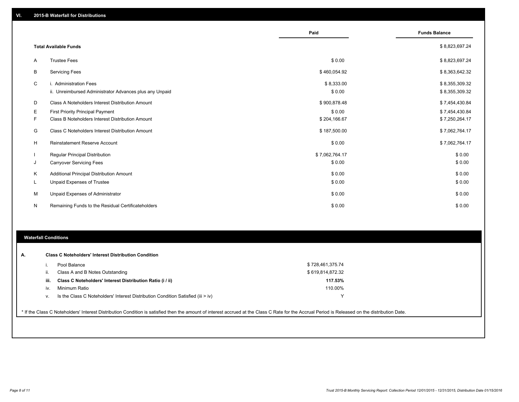|    |                                                         | Paid           | <b>Funds Balance</b> |
|----|---------------------------------------------------------|----------------|----------------------|
|    |                                                         |                |                      |
|    | <b>Total Available Funds</b>                            |                | \$8,823,697.24       |
| A  | <b>Trustee Fees</b>                                     | \$0.00         | \$8,823,697.24       |
| В  | <b>Servicing Fees</b>                                   | \$460,054.92   | \$8,363,642.32       |
| C  | i. Administration Fees                                  | \$8,333.00     | \$8,355,309.32       |
|    | ii. Unreimbursed Administrator Advances plus any Unpaid | \$0.00         | \$8,355,309.32       |
| D  | Class A Noteholders Interest Distribution Amount        | \$900,878.48   | \$7,454,430.84       |
| Е  | <b>First Priority Principal Payment</b>                 | \$0.00         | \$7,454,430.84       |
| F  | Class B Noteholders Interest Distribution Amount        | \$204,166.67   | \$7,250,264.17       |
| G  | Class C Noteholders Interest Distribution Amount        | \$187,500.00   | \$7,062,764.17       |
| н  | Reinstatement Reserve Account                           | \$0.00         | \$7,062,764.17       |
|    | <b>Regular Principal Distribution</b>                   | \$7,062,764.17 | \$0.00               |
| J  | <b>Carryover Servicing Fees</b>                         | \$0.00         | \$0.00               |
| К  | Additional Principal Distribution Amount                | \$0.00         | \$0.00               |
| ч. | Unpaid Expenses of Trustee                              | \$0.00         | \$0.00               |
| М  | Unpaid Expenses of Administrator                        | \$0.00         | \$0.00               |
| N  | Remaining Funds to the Residual Certificateholders      | \$0.00         | \$0.00               |

### **Waterfall Conditions**

|      | Pool Balance                                                                       | \$728,461,375.74 |  |
|------|------------------------------------------------------------------------------------|------------------|--|
| Ш.   | Class A and B Notes Outstanding                                                    | \$619,814,872.32 |  |
| iii. | Class C Noteholders' Interest Distribution Ratio (i / ii)                          | 117.53%          |  |
| iv.  | Minimum Ratio                                                                      | 110.00%          |  |
| v.   | Is the Class C Noteholders' Interest Distribution Condition Satisfied (iii $>$ iv) | $\check{ }$      |  |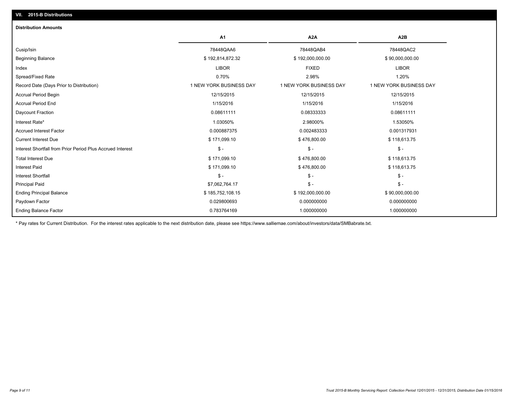| <b>A1</b>               | A <sub>2</sub> A        | A <sub>2</sub> B        |
|-------------------------|-------------------------|-------------------------|
| 78448QAA6               | 78448QAB4               | 78448QAC2               |
| \$192,814,872.32        | \$192,000,000.00        | \$90,000,000.00         |
| <b>LIBOR</b>            | <b>FIXED</b>            | <b>LIBOR</b>            |
| 0.70%                   | 2.98%                   | 1.20%                   |
| 1 NEW YORK BUSINESS DAY | 1 NEW YORK BUSINESS DAY | 1 NEW YORK BUSINESS DAY |
| 12/15/2015              | 12/15/2015              | 12/15/2015              |
| 1/15/2016               | 1/15/2016               | 1/15/2016               |
| 0.08611111              | 0.08333333              | 0.08611111              |
| 1.03050%                | 2.98000%                | 1.53050%                |
| 0.000887375             | 0.002483333             | 0.001317931             |
| \$171,099.10            | \$476,800.00            | \$118,613.75            |
| $\mathsf{\$}$ -         | $\frac{2}{3}$ -         | $\mathsf{\$}$ -         |
| \$171,099.10            | \$476,800.00            | \$118,613.75            |
| \$171,099.10            | \$476,800.00            | \$118,613.75            |
| $\mathsf{\$}$ -         | $\mathsf{\$}$ -         | $\mathsf{\$}$ -         |
| \$7,062,764.17          | $\frac{2}{3}$ -         | $S -$                   |
| \$185,752,108.15        | \$192,000,000.00        | \$90,000,000.00         |
| 0.029800693             | 0.000000000             | 0.000000000             |
| 0.783764169             | 1.000000000             | 1.000000000             |
|                         |                         |                         |

\* Pay rates for Current Distribution. For the interest rates applicable to the next distribution date, please see https://www.salliemae.com/about/investors/data/SMBabrate.txt.

**VII. 2015-B Distributions**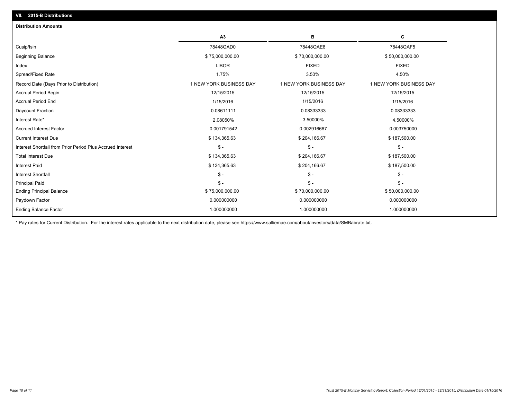| <b>Distribution Amounts</b>                                |                         |                         |                         |
|------------------------------------------------------------|-------------------------|-------------------------|-------------------------|
|                                                            | A3                      | в                       | C                       |
| Cusip/Isin                                                 | 78448QAD0               | 78448QAE8               | 78448QAF5               |
| <b>Beginning Balance</b>                                   | \$75,000,000.00         | \$70,000,000.00         | \$50,000,000.00         |
| Index                                                      | <b>LIBOR</b>            | <b>FIXED</b>            | <b>FIXED</b>            |
| Spread/Fixed Rate                                          | 1.75%                   | 3.50%                   | 4.50%                   |
| Record Date (Days Prior to Distribution)                   | 1 NEW YORK BUSINESS DAY | 1 NEW YORK BUSINESS DAY | 1 NEW YORK BUSINESS DAY |
| <b>Accrual Period Begin</b>                                | 12/15/2015              | 12/15/2015              | 12/15/2015              |
| <b>Accrual Period End</b>                                  | 1/15/2016               | 1/15/2016               | 1/15/2016               |
| Daycount Fraction                                          | 0.08611111              | 0.08333333              | 0.08333333              |
| Interest Rate*                                             | 2.08050%                | 3.50000%                | 4.50000%                |
| <b>Accrued Interest Factor</b>                             | 0.001791542             | 0.002916667             | 0.003750000             |
| <b>Current Interest Due</b>                                | \$134,365.63            | \$204,166.67            | \$187,500.00            |
| Interest Shortfall from Prior Period Plus Accrued Interest | $\mathsf{\$}$ -         | $\mathsf{\$}$ -         | $\mathcal{S}$ -         |
| <b>Total Interest Due</b>                                  | \$134,365.63            | \$204,166.67            | \$187,500.00            |
| <b>Interest Paid</b>                                       | \$134,365.63            | \$204,166.67            | \$187,500.00            |
| <b>Interest Shortfall</b>                                  | $\mathsf{\$}$ -         | $\mathsf{\$}$ -         | $\mathsf{\$}$ -         |
| <b>Principal Paid</b>                                      | $S -$                   | $\mathsf{\$}$ -         | $\mathsf{\$}$ -         |
| <b>Ending Principal Balance</b>                            | \$75,000,000.00         | \$70,000,000.00         | \$50,000,000.00         |
| Paydown Factor                                             | 0.000000000             | 0.000000000             | 0.000000000             |
| <b>Ending Balance Factor</b>                               | 1.000000000             | 1.000000000             | 1.000000000             |
|                                                            |                         |                         |                         |

\* Pay rates for Current Distribution. For the interest rates applicable to the next distribution date, please see https://www.salliemae.com/about/investors/data/SMBabrate.txt.

**VII. 2015-B Distributions**